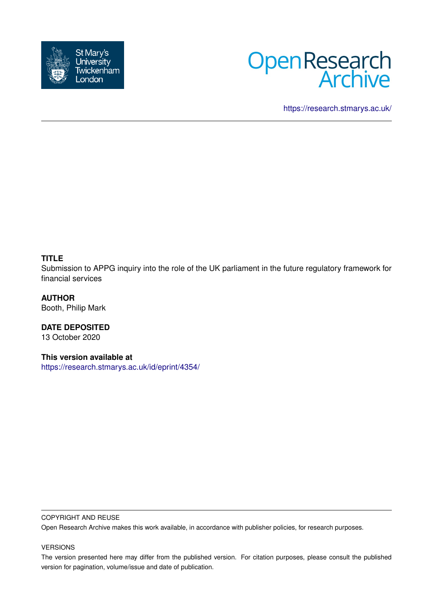



<https://research.stmarys.ac.uk/>

#### **TITLE**

Submission to APPG inquiry into the role of the UK parliament in the future regulatory framework for financial services

**AUTHOR** Booth, Philip Mark

**DATE DEPOSITED** 13 October 2020

**This version available at** <https://research.stmarys.ac.uk/id/eprint/4354/>

#### COPYRIGHT AND REUSE

Open Research Archive makes this work available, in accordance with publisher policies, for research purposes.

#### VERSIONS

The version presented here may differ from the published version. For citation purposes, please consult the published version for pagination, volume/issue and date of publication.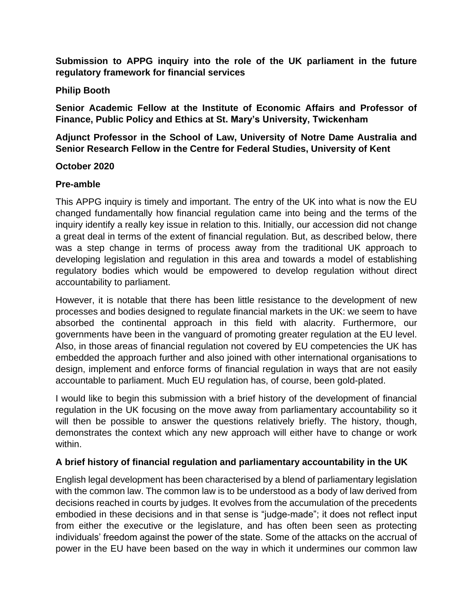**Submission to APPG inquiry into the role of the UK parliament in the future regulatory framework for financial services**

## **Philip Booth**

**Senior Academic Fellow at the Institute of Economic Affairs and Professor of Finance, Public Policy and Ethics at St. Mary's University, Twickenham**

**Adjunct Professor in the School of Law, University of Notre Dame Australia and Senior Research Fellow in the Centre for Federal Studies, University of Kent**

#### **October 2020**

## **Pre-amble**

This APPG inquiry is timely and important. The entry of the UK into what is now the EU changed fundamentally how financial regulation came into being and the terms of the inquiry identify a really key issue in relation to this. Initially, our accession did not change a great deal in terms of the extent of financial regulation. But, as described below, there was a step change in terms of process away from the traditional UK approach to developing legislation and regulation in this area and towards a model of establishing regulatory bodies which would be empowered to develop regulation without direct accountability to parliament.

However, it is notable that there has been little resistance to the development of new processes and bodies designed to regulate financial markets in the UK: we seem to have absorbed the continental approach in this field with alacrity. Furthermore, our governments have been in the vanguard of promoting greater regulation at the EU level. Also, in those areas of financial regulation not covered by EU competencies the UK has embedded the approach further and also joined with other international organisations to design, implement and enforce forms of financial regulation in ways that are not easily accountable to parliament. Much EU regulation has, of course, been gold-plated.

I would like to begin this submission with a brief history of the development of financial regulation in the UK focusing on the move away from parliamentary accountability so it will then be possible to answer the questions relatively briefly. The history, though, demonstrates the context which any new approach will either have to change or work within.

# **A brief history of financial regulation and parliamentary accountability in the UK**

English legal development has been characterised by a blend of parliamentary legislation with the common law. The common law is to be understood as a body of law derived from decisions reached in courts by judges. It evolves from the accumulation of the precedents embodied in these decisions and in that sense is "judge-made"; it does not reflect input from either the executive or the legislature, and has often been seen as protecting individuals' freedom against the power of the state. Some of the attacks on the accrual of power in the EU have been based on the way in which it undermines our common law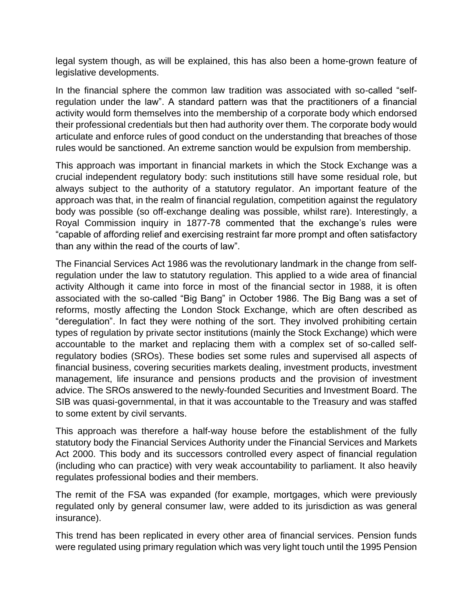legal system though, as will be explained, this has also been a home-grown feature of legislative developments.

In the financial sphere the common law tradition was associated with so-called "selfregulation under the law". A standard pattern was that the practitioners of a financial activity would form themselves into the membership of a corporate body which endorsed their professional credentials but then had authority over them. The corporate body would articulate and enforce rules of good conduct on the understanding that breaches of those rules would be sanctioned. An extreme sanction would be expulsion from membership.

This approach was important in financial markets in which the Stock Exchange was a crucial independent regulatory body: such institutions still have some residual role, but always subject to the authority of a statutory regulator. An important feature of the approach was that, in the realm of financial regulation, competition against the regulatory body was possible (so off-exchange dealing was possible, whilst rare). Interestingly, a Royal Commission inquiry in 1877-78 commented that the exchange's rules were "capable of affording relief and exercising restraint far more prompt and often satisfactory than any within the read of the courts of law".

The Financial Services Act 1986 was the revolutionary landmark in the change from selfregulation under the law to statutory regulation. This applied to a wide area of financial activity Although it came into force in most of the financial sector in 1988, it is often associated with the so-called "Big Bang" in October 1986. The Big Bang was a set of reforms, mostly affecting the London Stock Exchange, which are often described as "deregulation". In fact they were nothing of the sort. They involved prohibiting certain types of regulation by private sector institutions (mainly the Stock Exchange) which were accountable to the market and replacing them with a complex set of so-called selfregulatory bodies (SROs). These bodies set some rules and supervised all aspects of financial business, covering securities markets dealing, investment products, investment management, life insurance and pensions products and the provision of investment advice. The SROs answered to the newly-founded Securities and Investment Board. The SIB was quasi-governmental, in that it was accountable to the Treasury and was staffed to some extent by civil servants.

This approach was therefore a half-way house before the establishment of the fully statutory body the Financial Services Authority under the Financial Services and Markets Act 2000. This body and its successors controlled every aspect of financial regulation (including who can practice) with very weak accountability to parliament. It also heavily regulates professional bodies and their members.

The remit of the FSA was expanded (for example, mortgages, which were previously regulated only by general consumer law, were added to its jurisdiction as was general insurance).

This trend has been replicated in every other area of financial services. Pension funds were regulated using primary regulation which was very light touch until the 1995 Pension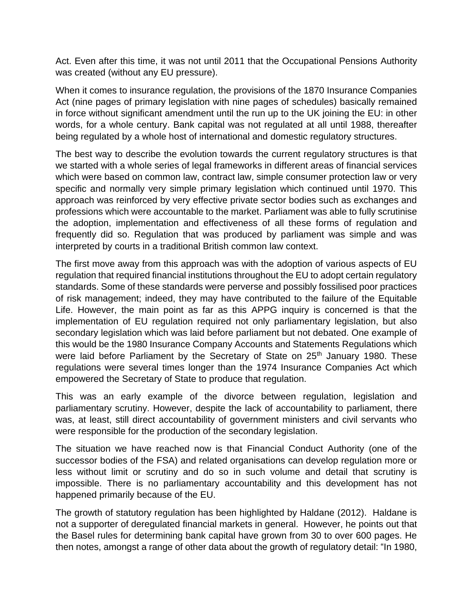Act. Even after this time, it was not until 2011 that the Occupational Pensions Authority was created (without any EU pressure).

When it comes to insurance regulation, the provisions of the 1870 Insurance Companies Act (nine pages of primary legislation with nine pages of schedules) basically remained in force without significant amendment until the run up to the UK joining the EU: in other words, for a whole century. Bank capital was not regulated at all until 1988, thereafter being regulated by a whole host of international and domestic regulatory structures.

The best way to describe the evolution towards the current regulatory structures is that we started with a whole series of legal frameworks in different areas of financial services which were based on common law, contract law, simple consumer protection law or very specific and normally very simple primary legislation which continued until 1970. This approach was reinforced by very effective private sector bodies such as exchanges and professions which were accountable to the market. Parliament was able to fully scrutinise the adoption, implementation and effectiveness of all these forms of regulation and frequently did so. Regulation that was produced by parliament was simple and was interpreted by courts in a traditional British common law context.

The first move away from this approach was with the adoption of various aspects of EU regulation that required financial institutions throughout the EU to adopt certain regulatory standards. Some of these standards were perverse and possibly fossilised poor practices of risk management; indeed, they may have contributed to the failure of the Equitable Life. However, the main point as far as this APPG inquiry is concerned is that the implementation of EU regulation required not only parliamentary legislation, but also secondary legislation which was laid before parliament but not debated. One example of this would be the 1980 Insurance Company Accounts and Statements Regulations which were laid before Parliament by the Secretary of State on 25<sup>th</sup> January 1980. These regulations were several times longer than the 1974 Insurance Companies Act which empowered the Secretary of State to produce that regulation.

This was an early example of the divorce between regulation, legislation and parliamentary scrutiny. However, despite the lack of accountability to parliament, there was, at least, still direct accountability of government ministers and civil servants who were responsible for the production of the secondary legislation.

The situation we have reached now is that Financial Conduct Authority (one of the successor bodies of the FSA) and related organisations can develop regulation more or less without limit or scrutiny and do so in such volume and detail that scrutiny is impossible. There is no parliamentary accountability and this development has not happened primarily because of the EU.

The growth of statutory regulation has been highlighted by Haldane (2012). Haldane is not a supporter of deregulated financial markets in general. However, he points out that the Basel rules for determining bank capital have grown from 30 to over 600 pages. He then notes, amongst a range of other data about the growth of regulatory detail: "In 1980,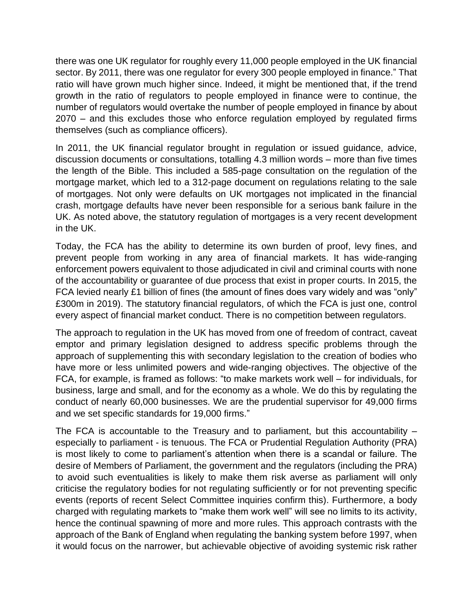there was one UK regulator for roughly every 11,000 people employed in the UK financial sector. By 2011, there was one regulator for every 300 people employed in finance." That ratio will have grown much higher since. Indeed, it might be mentioned that, if the trend growth in the ratio of regulators to people employed in finance were to continue, the number of regulators would overtake the number of people employed in finance by about 2070 – and this excludes those who enforce regulation employed by regulated firms themselves (such as compliance officers).

In 2011, the UK financial regulator brought in regulation or issued guidance, advice, discussion documents or consultations, totalling 4.3 million words – more than five times the length of the Bible. This included a 585-page consultation on the regulation of the mortgage market, which led to a 312-page document on regulations relating to the sale of mortgages. Not only were defaults on UK mortgages not implicated in the financial crash, mortgage defaults have never been responsible for a serious bank failure in the UK. As noted above, the statutory regulation of mortgages is a very recent development in the UK.

Today, the FCA has the ability to determine its own burden of proof, levy fines, and prevent people from working in any area of financial markets. It has wide-ranging enforcement powers equivalent to those adjudicated in civil and criminal courts with none of the accountability or guarantee of due process that exist in proper courts. In 2015, the FCA levied nearly £1 billion of fines (the amount of fines does vary widely and was "only" £300m in 2019). The statutory financial regulators, of which the FCA is just one, control every aspect of financial market conduct. There is no competition between regulators.

The approach to regulation in the UK has moved from one of freedom of contract, caveat emptor and primary legislation designed to address specific problems through the approach of supplementing this with secondary legislation to the creation of bodies who have more or less unlimited powers and wide-ranging objectives. The objective of the FCA, for example, is framed as follows: "to make markets work well – for individuals, for business, large and small, and for the economy as a whole. We do this by regulating the conduct of nearly 60,000 businesses. We are the prudential supervisor for 49,000 firms and we set specific standards for 19,000 firms."

The FCA is accountable to the Treasury and to parliament, but this accountability – especially to parliament - is tenuous. The FCA or Prudential Regulation Authority (PRA) is most likely to come to parliament's attention when there is a scandal or failure. The desire of Members of Parliament, the government and the regulators (including the PRA) to avoid such eventualities is likely to make them risk averse as parliament will only criticise the regulatory bodies for not regulating sufficiently or for not preventing specific events (reports of recent Select Committee inquiries confirm this). Furthermore, a body charged with regulating markets to "make them work well" will see no limits to its activity, hence the continual spawning of more and more rules. This approach contrasts with the approach of the Bank of England when regulating the banking system before 1997, when it would focus on the narrower, but achievable objective of avoiding systemic risk rather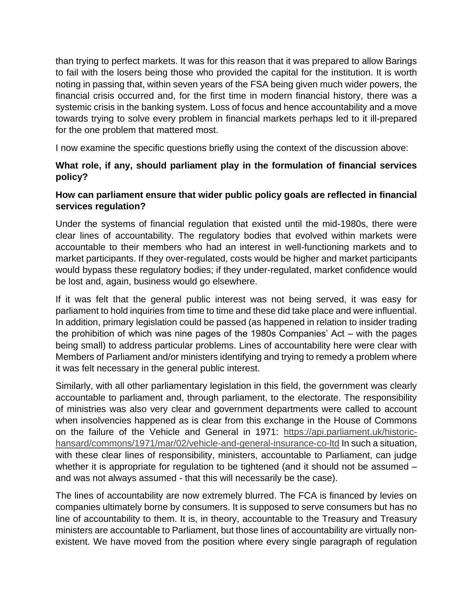than trying to perfect markets. It was for this reason that it was prepared to allow Barings to fail with the losers being those who provided the capital for the institution. It is worth noting in passing that, within seven years of the FSA being given much wider powers, the financial crisis occurred and, for the first time in modern financial history, there was a systemic crisis in the banking system. Loss of focus and hence accountability and a move towards trying to solve every problem in financial markets perhaps led to it ill-prepared for the one problem that mattered most.

I now examine the specific questions briefly using the context of the discussion above:

# **What role, if any, should parliament play in the formulation of financial services policy?**

# **How can parliament ensure that wider public policy goals are reflected in financial services regulation?**

Under the systems of financial regulation that existed until the mid-1980s, there were clear lines of accountability. The regulatory bodies that evolved within markets were accountable to their members who had an interest in well-functioning markets and to market participants. If they over-regulated, costs would be higher and market participants would bypass these regulatory bodies; if they under-regulated, market confidence would be lost and, again, business would go elsewhere.

If it was felt that the general public interest was not being served, it was easy for parliament to hold inquiries from time to time and these did take place and were influential. In addition, primary legislation could be passed (as happened in relation to insider trading the prohibition of which was nine pages of the 1980s Companies' Act – with the pages being small) to address particular problems. Lines of accountability here were clear with Members of Parliament and/or ministers identifying and trying to remedy a problem where it was felt necessary in the general public interest.

Similarly, with all other parliamentary legislation in this field, the government was clearly accountable to parliament and, through parliament, to the electorate. The responsibility of ministries was also very clear and government departments were called to account when insolvencies happened as is clear from this exchange in the House of Commons on the failure of the Vehicle and General in 1971: https://api.parliament.uk/historichansard/commons/1971/mar/02/vehicle-and-general-insurance-co-ltd In such a situation, with these clear lines of responsibility, ministers, accountable to Parliament, can judge whether it is appropriate for regulation to be tightened (and it should not be assumed – and was not always assumed - that this will necessarily be the case).

The lines of accountability are now extremely blurred. The FCA is financed by levies on companies ultimately borne by consumers. It is supposed to serve consumers but has no line of accountability to them. It is, in theory, accountable to the Treasury and Treasury ministers are accountable to Parliament, but those lines of accountability are virtually nonexistent. We have moved from the position where every single paragraph of regulation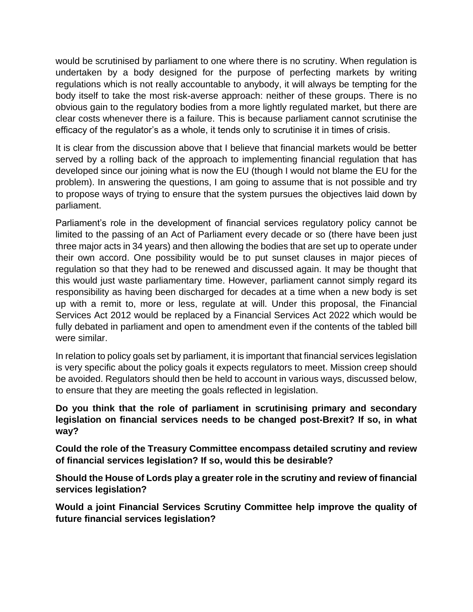would be scrutinised by parliament to one where there is no scrutiny. When regulation is undertaken by a body designed for the purpose of perfecting markets by writing regulations which is not really accountable to anybody, it will always be tempting for the body itself to take the most risk-averse approach: neither of these groups. There is no obvious gain to the regulatory bodies from a more lightly regulated market, but there are clear costs whenever there is a failure. This is because parliament cannot scrutinise the efficacy of the regulator's as a whole, it tends only to scrutinise it in times of crisis.

It is clear from the discussion above that I believe that financial markets would be better served by a rolling back of the approach to implementing financial regulation that has developed since our joining what is now the EU (though I would not blame the EU for the problem). In answering the questions, I am going to assume that is not possible and try to propose ways of trying to ensure that the system pursues the objectives laid down by parliament.

Parliament's role in the development of financial services regulatory policy cannot be limited to the passing of an Act of Parliament every decade or so (there have been just three major acts in 34 years) and then allowing the bodies that are set up to operate under their own accord. One possibility would be to put sunset clauses in major pieces of regulation so that they had to be renewed and discussed again. It may be thought that this would just waste parliamentary time. However, parliament cannot simply regard its responsibility as having been discharged for decades at a time when a new body is set up with a remit to, more or less, regulate at will. Under this proposal, the Financial Services Act 2012 would be replaced by a Financial Services Act 2022 which would be fully debated in parliament and open to amendment even if the contents of the tabled bill were similar.

In relation to policy goals set by parliament, it is important that financial services legislation is very specific about the policy goals it expects regulators to meet. Mission creep should be avoided. Regulators should then be held to account in various ways, discussed below, to ensure that they are meeting the goals reflected in legislation.

**Do you think that the role of parliament in scrutinising primary and secondary legislation on financial services needs to be changed post-Brexit? If so, in what way?**

**Could the role of the Treasury Committee encompass detailed scrutiny and review of financial services legislation? If so, would this be desirable?**

**Should the House of Lords play a greater role in the scrutiny and review of financial services legislation?** 

**Would a joint Financial Services Scrutiny Committee help improve the quality of future financial services legislation?**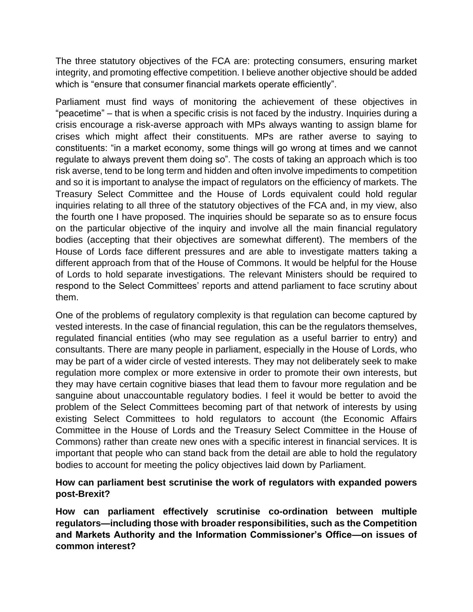The three statutory objectives of the FCA are: protecting consumers, ensuring market integrity, and promoting effective competition. I believe another objective should be added which is "ensure that consumer financial markets operate efficiently".

Parliament must find ways of monitoring the achievement of these objectives in "peacetime" – that is when a specific crisis is not faced by the industry. Inquiries during a crisis encourage a risk-averse approach with MPs always wanting to assign blame for crises which might affect their constituents. MPs are rather averse to saying to constituents: "in a market economy, some things will go wrong at times and we cannot regulate to always prevent them doing so". The costs of taking an approach which is too risk averse, tend to be long term and hidden and often involve impediments to competition and so it is important to analyse the impact of regulators on the efficiency of markets. The Treasury Select Committee and the House of Lords equivalent could hold regular inquiries relating to all three of the statutory objectives of the FCA and, in my view, also the fourth one I have proposed. The inquiries should be separate so as to ensure focus on the particular objective of the inquiry and involve all the main financial regulatory bodies (accepting that their objectives are somewhat different). The members of the House of Lords face different pressures and are able to investigate matters taking a different approach from that of the House of Commons. It would be helpful for the House of Lords to hold separate investigations. The relevant Ministers should be required to respond to the Select Committees' reports and attend parliament to face scrutiny about them.

One of the problems of regulatory complexity is that regulation can become captured by vested interests. In the case of financial regulation, this can be the regulators themselves, regulated financial entities (who may see regulation as a useful barrier to entry) and consultants. There are many people in parliament, especially in the House of Lords, who may be part of a wider circle of vested interests. They may not deliberately seek to make regulation more complex or more extensive in order to promote their own interests, but they may have certain cognitive biases that lead them to favour more regulation and be sanguine about unaccountable regulatory bodies. I feel it would be better to avoid the problem of the Select Committees becoming part of that network of interests by using existing Select Committees to hold regulators to account (the Economic Affairs Committee in the House of Lords and the Treasury Select Committee in the House of Commons) rather than create new ones with a specific interest in financial services. It is important that people who can stand back from the detail are able to hold the regulatory bodies to account for meeting the policy objectives laid down by Parliament.

## **How can parliament best scrutinise the work of regulators with expanded powers post-Brexit?**

**How can parliament effectively scrutinise co-ordination between multiple regulators—including those with broader responsibilities, such as the Competition and Markets Authority and the Information Commissioner's Office—on issues of common interest?**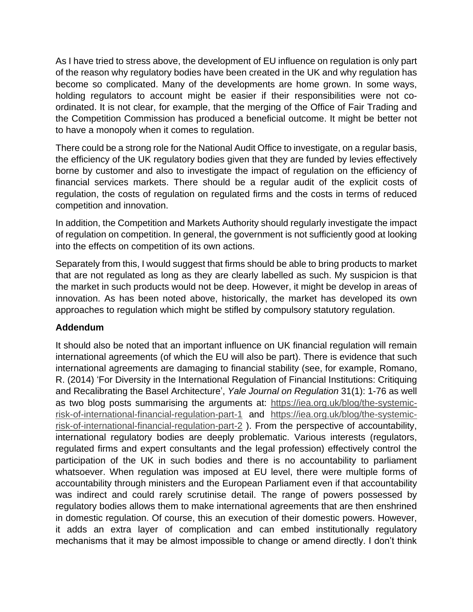As I have tried to stress above, the development of EU influence on regulation is only part of the reason why regulatory bodies have been created in the UK and why regulation has become so complicated. Many of the developments are home grown. In some ways, holding regulators to account might be easier if their responsibilities were not coordinated. It is not clear, for example, that the merging of the Office of Fair Trading and the Competition Commission has produced a beneficial outcome. It might be better not to have a monopoly when it comes to regulation.

There could be a strong role for the National Audit Office to investigate, on a regular basis, the efficiency of the UK regulatory bodies given that they are funded by levies effectively borne by customer and also to investigate the impact of regulation on the efficiency of financial services markets. There should be a regular audit of the explicit costs of regulation, the costs of regulation on regulated firms and the costs in terms of reduced competition and innovation.

In addition, the Competition and Markets Authority should regularly investigate the impact of regulation on competition. In general, the government is not sufficiently good at looking into the effects on competition of its own actions.

Separately from this, I would suggest that firms should be able to bring products to market that are not regulated as long as they are clearly labelled as such. My suspicion is that the market in such products would not be deep. However, it might be develop in areas of innovation. As has been noted above, historically, the market has developed its own approaches to regulation which might be stifled by compulsory statutory regulation.

# **Addendum**

It should also be noted that an important influence on UK financial regulation will remain international agreements (of which the EU will also be part). There is evidence that such international agreements are damaging to financial stability (see, for example, Romano, R. (2014) 'For Diversity in the International Regulation of Financial Institutions: Critiquing and Recalibrating the Basel Architecture', *Yale Journal on Regulation* 31(1): 1-76 as well as two blog posts summarising the arguments at: https://iea.org.uk/blog/the-systemicrisk-of-international-financial-regulation-part-1 and https://iea.org.uk/blog/the-systemicrisk-of-international-financial-regulation-part-2 ). From the perspective of accountability, international regulatory bodies are deeply problematic. Various interests (regulators, regulated firms and expert consultants and the legal profession) effectively control the participation of the UK in such bodies and there is no accountability to parliament whatsoever. When regulation was imposed at EU level, there were multiple forms of accountability through ministers and the European Parliament even if that accountability was indirect and could rarely scrutinise detail. The range of powers possessed by regulatory bodies allows them to make international agreements that are then enshrined in domestic regulation. Of course, this an execution of their domestic powers. However, it adds an extra layer of complication and can embed institutionally regulatory mechanisms that it may be almost impossible to change or amend directly. I don't think